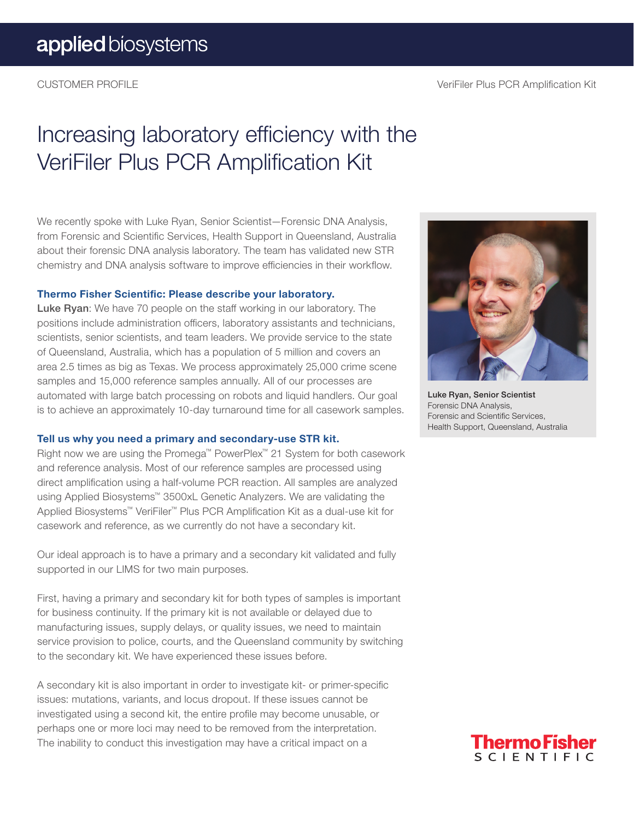# Increasing laboratory efficiency with the VeriFiler Plus PCR Amplification Kit

We recently spoke with Luke Ryan, Senior Scientist—Forensic DNA Analysis, from Forensic and Scientific Services, Health Support in Queensland, Australia about their forensic DNA analysis laboratory. The team has validated new STR chemistry and DNA analysis software to improve efficiencies in their workflow.

#### Thermo Fisher Scientific: Please describe your laboratory.

Luke Ryan: We have 70 people on the staff working in our laboratory. The positions include administration officers, laboratory assistants and technicians, scientists, senior scientists, and team leaders. We provide service to the state of Queensland, Australia, which has a population of 5 million and covers an area 2.5 times as big as Texas. We process approximately 25,000 crime scene samples and 15,000 reference samples annually. All of our processes are automated with large batch processing on robots and liquid handlers. Our goal is to achieve an approximately 10-day turnaround time for all casework samples.

#### Tell us why you need a primary and secondary-use STR kit.

Right now we are using the Promega™ PowerPlex™ 21 System for both casework and reference analysis. Most of our reference samples are processed using direct amplification using a half-volume PCR reaction. All samples are analyzed using Applied Biosystems™ 3500xL Genetic Analyzers. We are validating the Applied Biosystems™ VeriFiler™ Plus PCR Amplification Kit as a dual-use kit for casework and reference, as we currently do not have a secondary kit.

Our ideal approach is to have a primary and a secondary kit validated and fully supported in our LIMS for two main purposes.

First, having a primary and secondary kit for both types of samples is important for business continuity. If the primary kit is not available or delayed due to manufacturing issues, supply delays, or quality issues, we need to maintain service provision to police, courts, and the Queensland community by switching to the secondary kit. We have experienced these issues before.

A secondary kit is also important in order to investigate kit- or primer-specific issues: mutations, variants, and locus dropout. If these issues cannot be investigated using a second kit, the entire profile may become unusable, or perhaps one or more loci may need to be removed from the interpretation. The inability to conduct this investigation may have a critical impact on a



Luke Ryan, Senior Scientist Forensic DNA Analysis, Forensic and Scientific Services, Health Support, Queensland, Australia

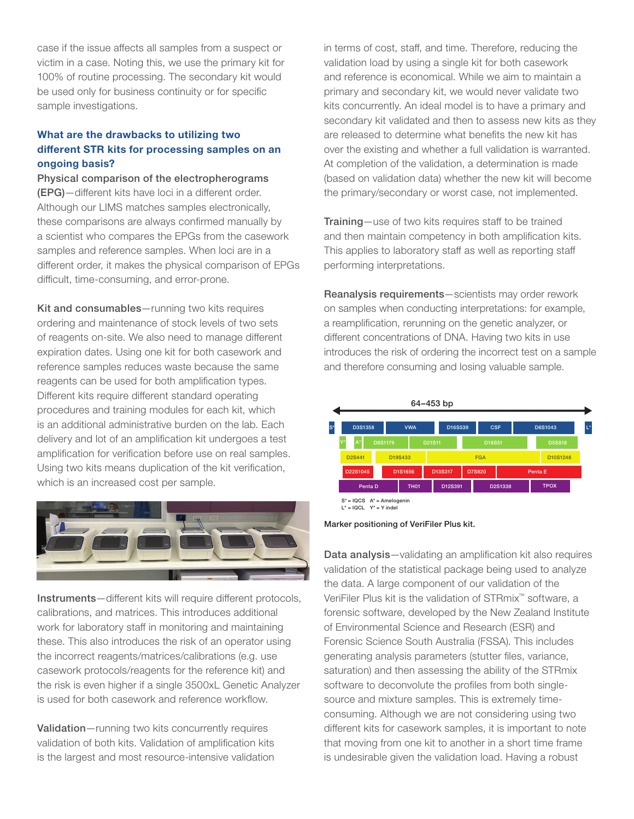case if the issue affects all samples from a suspect or victim in a case. Noting this, we use the primary kit for 100% of routine processing. The secondary kit would be used only for business continuity or for specific sample investigations.

### What are the drawbacks to utilizing two different STR kits for processing samples on an ongoing basis?

Physical comparison of the electropherograms (EPG)—different kits have loci in a different order. Although our LIMS matches samples electronically, these comparisons are always confirmed manually by a scientist who compares the EPGs from the casework samples and reference samples. When loci are in a different order, it makes the physical comparison of EPGs difficult, time-consuming, and error-prone.

Kit and consumables—running two kits requires ordering and maintenance of stock levels of two sets of reagents on-site. We also need to manage different expiration dates. Using one kit for both casework and reference samples reduces waste because the same reagents can be used for both amplification types. Different kits require different standard operating procedures and training modules for each kit, which is an additional administrative burden on the lab. Each delivery and lot of an amplification kit undergoes a test amplification for verification before use on real samples. Using two kits means duplication of the kit verification, which is an increased cost per sample.



Instruments—different kits will require different protocols, calibrations, and matrices. This introduces additional work for laboratory staff in monitoring and maintaining these. This also introduces the risk of an operator using the incorrect reagents/matrices/calibrations (e.g. use casework protocols/reagents for the reference kit) and the risk is even higher if a single 3500xL Genetic Analyzer is used for both casework and reference workflow.

Validation—running two kits concurrently requires validation of both kits. Validation of amplification kits is the largest and most resource-intensive validation in terms of cost, staff, and time. Therefore, reducing the validation load by using a single kit for both casework and reference is economical. While we aim to maintain a primary and secondary kit, we would never validate two kits concurrently. An ideal model is to have a primary and secondary kit validated and then to assess new kits as they are released to determine what benefits the new kit has over the existing and whether a full validation is warranted. At completion of the validation, a determination is made (based on validation data) whether the new kit will become the primary/secondary or worst case, not implemented.

Training—use of two kits requires staff to be trained and then maintain competency in both amplification kits. This applies to laboratory staff as well as reporting staff performing interpretations.

Reanalysis requirements—scientists may order rework on samples when conducting interpretations: for example, a reamplification, rerunning on the genetic analyzer, or different concentrations of DNA. Having two kits in use introduces the risk of ordering the incorrect test on a sample and therefore consuming and losing valuable sample.





Data analysis-validating an amplification kit also requires validation of the statistical package being used to analyze the data. A large component of our validation of the VeriFiler Plus kit is the validation of STRmix™ software, a forensic software, developed by the New Zealand Institute of Environmental Science and Research (ESR) and Forensic Science South Australia (FSSA). This includes generating analysis parameters (stutter files, variance, saturation) and then assessing the ability of the STRmix software to deconvolute the profiles from both singlesource and mixture samples. This is extremely timeconsuming. Although we are not considering using two different kits for casework samples, it is important to note that moving from one kit to another in a short time frame is undesirable given the validation load. Having a robust